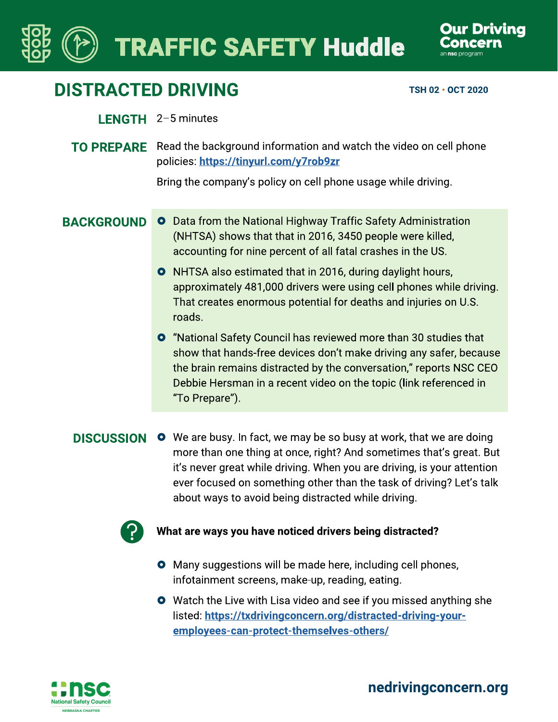# **TRAFFIC SAFETY Huddle**



## **DISTRACTED DRIVING**

TSH 02 · OCT 2020

#### LENGTH 2-5 minutes

**TO PREPARE** Read the background information and watch the video on cell phone policies: https://tinyurl.com/y7rob9zr

Bring the company's policy on cell phone usage while driving.

#### **BACKGROUND**

- **O** Data from the National Highway Traffic Safety Administration (NHTSA) shows that that in 2016, 3450 people were killed, accounting for nine percent of all fatal crashes in the US.
	- **O** NHTSA also estimated that in 2016, during daylight hours, approximately 481,000 drivers were using cell phones while driving. That creates enormous potential for deaths and injuries on U.S. roads.
	- **O** "National Safety Council has reviewed more than 30 studies that show that hands-free devices don't make driving any safer, because the brain remains distracted by the conversation," reports NSC CEO Debbie Hersman in a recent video on the topic (link referenced in "To Prepare").

**DISCUSSION O** We are busy. In fact, we may be so busy at work, that we are doing more than one thing at once, right? And sometimes that's great. But it's never great while driving. When you are driving, is your attention ever focused on something other than the task of driving? Let's talk about ways to avoid being distracted while driving.



#### What are ways you have noticed drivers being distracted?

- **O** Many suggestions will be made here, including cell phones, infotainment screens, make-up, reading, eating.
- **O** Watch the Live with Lisa video and see if you missed anything she listed: https://txdrivingconcern.org/distracted-driving-youremployees-can-protect-themselves-others/